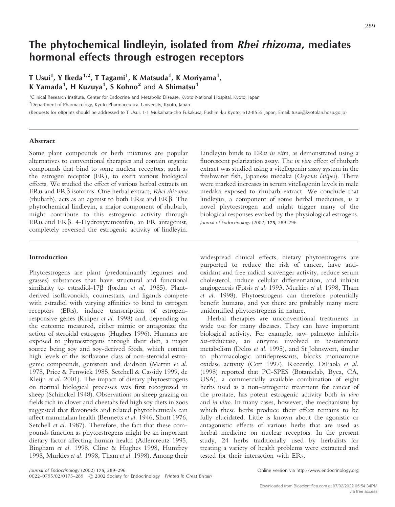# **The phytochemical lindleyin, isolated from** *Rhei rhizoma***, mediates hormonal effects through estrogen receptors**

**T Usui1 , Y Ikeda1,2, T Tagami1 , K Matsuda1 , K Moriyama1 , K Yamada1 , H Kuzuya1 , S Kohno2** and **A Shimatsu1**

1 Clinical Research Institute, Center for Endocrine and Metabolic Disease, Kyoto National Hospital, Kyoto, Japan

<sup>2</sup>Department of Pharmacology, Kyoto Pharmaceutical University, Kyoto, Japan

(Requests for offprints should be addressed to T Usui, 1-1 Mukaihata-cho Fukakusa, Fushimi-ku Kyoto, 612-8555 Japan; Email: tusui@kyotolan.hosp.go.jp)

## **Abstract**

Some plant compounds or herb mixtures are popular alternatives to conventional therapies and contain organic compounds that bind to some nuclear receptors, such as the estrogen receptor (ER), to exert various biological effects. We studied the effect of various herbal extracts on ERα and ERβ isoforms. One herbal extract, *Rhei rhizoma* (rhubarb), acts as an agonist to both  $ER\alpha$  and  $ER\beta$ . The phytochemical lindleyin, a major component of rhubarb, might contribute to this estrogenic activity through ERα and ERβ. 4-Hydroxytamoxifen, an ER antagonist, completely reversed the estrogenic activity of lindleyin.

## **Introduction**

Phytoestrogens are plant (predominantly legumes and grasses) substances that have structural and functional similarity to estradiol-17β (Jordan *et al.* 1985). Plantderived isoflavonoids, coumestans, and ligands compete with estradiol with varying affinities to bind to estrogen receptors (ERs), induce transcription of estrogenresponsive genes (Kuiper *et al.* 1998) and, depending on the outcome measured, either mimic or antagonize the action of steroidal estrogens (Hughes 1996). Humans are exposed to phytoestrogens through their diet, a major source being soy and soy-derived foods, which contain high levels of the isoflavone class of non-steroidal estrogenic compounds, genistein and daidzein (Martin *et al.* 1978, Price & Fenwick 1985, Setchell & Cassidy 1999, de Kleijn *et al.* 2001). The impact of dietary phytoestrogens on normal biological processes was first recognized in sheep (Schinckel 1948). Observations on sheep grazing on fields rich in clover and cheetahs fed high soy diets in zoos suggested that flavonoids and related phytochemicals can affect mammalian health (Bennetts *et al.* 1946, Shutt 1976, Setchell *et al.* 1987). Therefore, the fact that these compounds function as phytoestrogens might be an important dietary factor affecting human health (Adlercreutz 1995, Bingham *et al.* 1998, Cline & Hughes 1998, Humfrey 1998, Murkies *et al.* 1998, Tham *et al.* 1998). Among their Lindleyin binds to ER $\alpha$  *in vitro*, as demonstrated using a fluorescent polarization assay. The *in vivo* effect of rhubarb extract was studied using a vitellogenin assay system in the freshwater fish, Japanese medaka (*Oryzias latipes*). There were marked increases in serum vitellogenin levels in male medaka exposed to rhubarb extract. We conclude that lindleyin, a component of some herbal medicines, is a novel phytoestrogen and might trigger many of the biological responses evoked by the physiological estrogens. *Journal of Endocrinology* (2002) **175,** 289–296

widespread clinical effects, dietary phytoestrogens are purported to reduce the risk of cancer, have antioxidant and free radical scavenger activity, reduce serum cholesterol, induce cellular differentiation, and inhibit angiogenesis (Fotsis *et al.* 1993, Murkies *et al.* 1998, Tham *et al.* 1998). Phytoestrogens can therefore potentially benefit humans, and yet there are probably many more unidentified phytoestrogens in nature.

Herbal therapies are unconventional treatments in wide use for many diseases. They can have important biological activity. For example, saw palmetto inhibits  $5\alpha$ -reductase, an enzyme involved in testosterone metabolism (Delos *et al.* 1995), and St Johnswort, similar to pharmacologic antidepressants, blocks monoamine oxidase activity (Cott 1997). Recently, DiPaola *et al.* (1998) reported that PC-SPES (Botaniclab, Byea, CA, USA), a commercially available combination of eight herbs used as a non-estrogenic treatment for cancer of the prostate, has potent estrogenic activity both *in vivo* and *in vitro*. In many cases, however, the mechanisms by which these herbs produce their effect remains to be fully elucidated. Little is known about the agonistic or antagonistic effects of various herbs that are used as herbal medicine on nuclear receptors. In the present study, 24 herbs traditionally used by herbalists for treating a variety of health problems were extracted and tested for their interaction with ERs.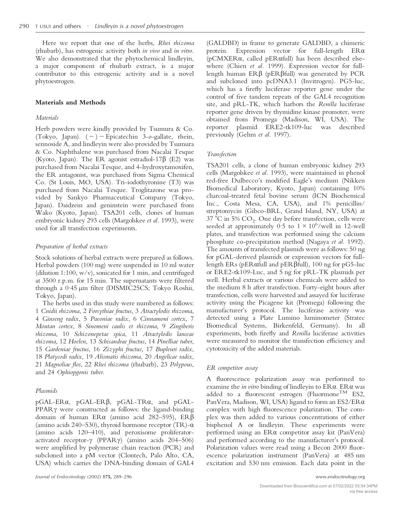Here we report that one of the herbs, *Rhei rhizoma* (rhubarb), has estrogenic activity both *in vivo* and *in vitro*. We also demonstrated that the phytochemical lindleyin, a major component of rhubarb extract, is a major contributor to this estrogenic activity and is a novel phytoestrogen.

## **Materials and Methods**

## *Materials*

Herb powders were kindly provided by Tsumura & Co. (Tokyo, Japan). (-)-Epicatechin 3-*o*-gallate, rhein, sennoside A, and lindleyin were also provided by Tsumura & Co. Naphthalene was purchased from Nacalai Tesque (Kyoto, Japan). The ER agonist estradiol-17 $\beta$  (E2) was purchased from Nacalai Tesque, and 4-hydroxytamoxifen, the ER antagonist, was purchased from Sigma Chemical Co. (St Louis, MO, USA). Tri-iodothyronine (T3) was purchased from Nacalai Tesque. Troglitazone was provided by Sankyo Pharmaceutical Company (Tokyo, Japan). Daidzein and geninstein were purchased from Wako (Kyoto, Japan). TSA201 cells, clones of human embryonic kidney 293 cells (Margolskee *et al.* 1993), were used for all transfection experiments.

# *Preparation of herbal extracts*

Stock solutions of herbal extracts were prepared as follows. Herbal powders (100 mg) were suspended in 10 ml water (dilution 1:100,  $w/v$ ), sonicated for 1 min, and centrifuged at 3500 r.p.m. for 15 min. The supernatants were filtered through a 0·45 µm filter (DISMIC25CS; Tokyo Roshii, Tokyo, Japan).

The herbs used in this study were numbered as follows: 1 *Cnidii rhizoma*, 2 *Forsythiae fructus*, 3 *Atractylodis rhizoma*, 4 *Ginseng radix*, 5 *Paeoniae radix*, 6 *Cinnamoni cortex*, 7 *Moutan cortex*, 8 *Sinomeni caulis et rhizoma*, 9 *Zingiberis rhizoma*, 10 *Schizonepetae spica*, 11 *Atractylodis lanceae rhizoma*, 12 *Hoelen*, 13 *Schisandrae fructus*, 14 *Pinelliae tuber*, 15 *Gardeniae fructus*, 16 *Zizyphi fructus,* 17 *Bupleuri radix*, 18 *Platycodi radix*, 19 *Alismatis rhizoma*, 20 *Angelicae radix*, 21 *Magnoliae flos*, 22 *Rhei rhizoma* (rhubarb), 23 *Polypous*, and 24 *Ophiopgonis tuber*.

## *Plasmids*

pGAL-ERα, pGAL-ERβ, pGAL-TRα, and pGAL-PPAR $\gamma$  were constructed as follows: the ligand-binding domain of human ER $\alpha$  (amino acid 282–595), ER $\beta$ (amino acids 240–530), thyroid hormone receptor (TR)- $\alpha$ (amino acids 120–410), and peroxisome proliferatoractivated receptor- $\gamma$  (PPAR $\gamma$ ) (amino acids 204–506) were amplified by polymerase chain reaction (PCR) and subcloned into a pM vector (Clontech, Palo Alto, CA, USA) which carries the DNA-binding domain of GAL4 (GALDBD) in frame to generate GALDBD, a chimeric protein. Expression vector for full-length  $ER\alpha$ ( $pCMXER\alpha$ , called  $pERafull$ ) has been described elsewhere (Chien *et al.* 1999). Expression vector for fulllength human  $\text{ER}\beta$  (pER $\beta$ full) was generated by PCR and subcloned into pcDNA3.1 (Invitrogen). PG5-luc, which has a firefly luciferase reporter gene under the control of five tandem repeats of the GAL4 recognition site, and pRL-TK, which harbors the *Renilla* luciferase reporter gene driven by thymidine kinase promoter, were obtained from Promega (Madison, WI, USA). The reporter plasmid ERE2-tk109-luc was described previously (Gehm *et al.* 1997).

# *Transfection*

TSA201 cells, a clone of human embryonic kidney 293 cells (Margolskee *et al.* 1993), were maintained in phenol red-free Dulbecco's modified Eagle's medium (Nikken Biomedical Laboratory, Kyoto, Japan) containing 10% charcoal-treated fetal bovine serum (ICN Biochemical Inc., Costa Mesa, CA, USA), and 1% penicillin/ streptomycin (Gibco-BRL, Grand Island, NY, USA) at  $37 °C$  in  $5\%$   $CO<sub>2</sub>$ . One day before transfection, cells were seeded at approximately 0.5 to  $1 \times 10^6$ /well in 12-well plates, and transfection was performed using the calcium phosphate co-precipitation method (Nagaya *et al.* 1992). The amounts of transfected plasmids were as follows: 50 ng for pGAL-derived plasmids or expression vectors for fulllength ERs (pER $\alpha$ full and pER $\beta$ full), 100 ng for pG5-luc or ERE2-tk109-Luc, and 5 ng for pRL-TK plasmids per well. Herbal extracts or various chemicals were added to the medium 8 h after transfection. Forty-eight hours after transfection, cells were harvested and assayed for luciferase activity using the Picagene kit (Promega) following the manufacturer's protocol. The luciferase activity was detected using a Plate Lumino luminometer (Stratec Biomedical Systems, Birkenfeld, Germany). In all experiments, both firefly and *Renilla* luciferase activities were measured to monitor the transfection efficiency and cytotoxicity of the added materials.

## *ER competitor assay*

A fluorescence polarization assay was performed to examine the *in vitro* binding of lindleyin to  $ER\alpha$ .  $ER\alpha$  was added to a fluorescent estrogen (Fluormone<sup>TM</sup> ES2, PanVera, Madison, WI, USA) ligand to form an  $ES2/ER\alpha$ complex with high fluorescence polarization. The complex was then added to various concentrations of either bisphenol A or lindleyin. These experiments were performed using an  $ER\alpha$  competitor assay kit (PanVera) and performed according to the manufacturer's protocol. Polarization values were read using a Becon 2000 fluorescence polarization instrument (PanVera) at 485 nm excitation and 530 nm emission. Each data point in the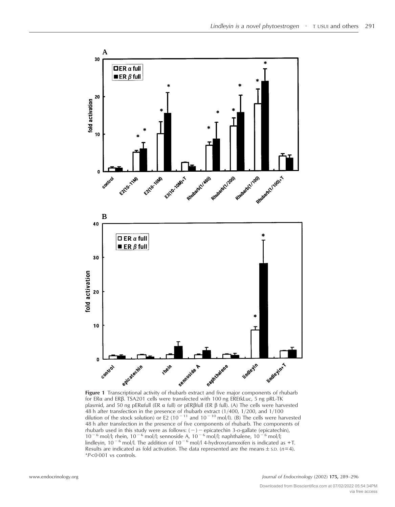

for ER $\alpha$  and ER $\beta$ . TSA201 cells were transfected with 100 ng EREtkLuc, 5 ng pRL-TK plasmid, and 50 ng pER $\alpha$ full (ER  $\alpha$  full) or pER $\beta$ full (ER  $\beta$  full). (A) The cells were harvested 48 h after transfection in the presence of rhubarb extract (1/400, 1/200, and 1/100<br>dilution of the stock solution) or E2 (10<sup>-11</sup> and 10<sup>-10</sup> mol/l). (B) The cells were harvested 48 h after transfection in the presence of five components of rhubarb. The components of rhubarb used in this study were as follows: (–) – epicatechin 3-o-gallate (epicatechin),<br>10<sup>-6</sup> mol/l; rhein, 10<sup>-6</sup> mol/l; sennoside A, 10<sup>-6</sup> mol/l; naphthalene, 10<sup>-6</sup> mol/l; lindleyin,  $10^{-6}$  mol/l. The addition of  $10^{-6}$  mol/l 4-hydroxytamoxifen is indicated as +T. Results are indicated as fold activation. The data represented are the means  $\pm$  s.D. ( $n=4$ ). \**P*<0·001 vs controls.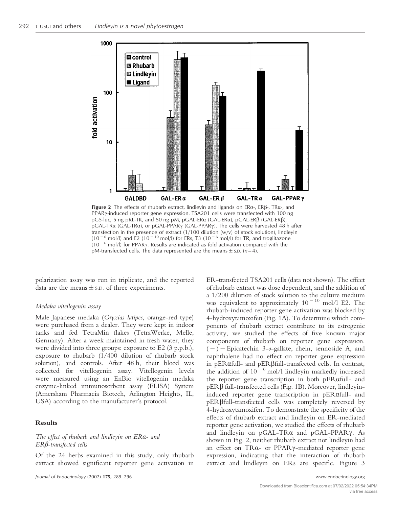

Figure 2 The effects of rhubarb extract, lindleyin and ligands on ERα-, ERβ-, TRα-, and PPARy-induced reporter gene expression. TSA201 cells were transfected with 100 ng pG5-luc, 5 ng pRL-TK, and 50 ng pM, pGAL-ER $\alpha$  (GAL-ER $\alpha$ ), pGAL-ER $\beta$  (GAL-ER $\beta$ ), pGAL-TR $\alpha$  (GAL-TR $\alpha$ ), or pGAL-PPAR $\gamma$  (GAL-PPAR $\gamma$ ). The cells were harvested 48 h after transfection in the presence of extract (1/100 dilution (w/v) of stock solution), lindleyin  $(10^{-6}$  mol/l) and E2  $(10^{-10}$  mol/l) for ERs, T3  $(10^{-6}$  mol/l) for TR, and troglitazone  $(10^{-6}$  mol/l) for PPAR $\gamma$ . Results are indicated as fold activation compared with the pM-transfected cells. The data represented are the means  $\pm$  s.p. ( $n=4$ ).

polarization assay was run in triplicate, and the reported data are the means  $\pm$  s.D. of three experiments.

## *Medaka vitellogenin assay*

Male Japanese medaka (*Oryzias latipes*, orange-red type) were purchased from a dealer. They were kept in indoor tanks and fed TetraMin flakes (TetraWerke, Melle, Germany). After a week maintained in fresh water, they were divided into three groups: exposure to E2 (3 p.p.b.), exposure to rhubarb (1/400 dilution of rhubarb stock solution), and controls. After 48 h, their blood was collected for vitellogenin assay. Vitellogenin levels were measured using an EnBio vitellogenin medaka enzyme-linked immunosorbent assay (ELISA) System (Amersham Pharmacia Biotech, Arlington Heights, IL, USA) according to the manufacturer's protocol.

## **Results**

# *The effect of rhubarb and lindleyin on ER- and ER--transfected cells*

Of the 24 herbs examined in this study, only rhubarb extract showed significant reporter gene activation in ER-transfected TSA201 cells (data not shown). The effect of rhubarb extract was dose dependent, and the addition of a 1/200 dilution of stock solution to the culture medium was equivalent to approximately  $10^{-10}$  mol/l E2. The rhubarb-induced reporter gene activation was blocked by 4-hydroxytamoxifen (Fig. 1A). To determine which components of rhubarb extract contribute to its estrogenic activity, we studied the effects of five known major components of rhubarb on reporter gene expression. (-)-Epicatechin 3-*o*-gallate, rhein, sennoside A, and naphthalene had no effect on reporter gene expression in pERafull- and pER Bfull-transfected cells. In contrast, the addition of  $10^{-6}$  mol/l lindleyin markedly increased the reporter gene transcription in both pER $\alpha$ full- and pER- full-transfected cells (Fig. 1B). Moreover, lindleyininduced reporter gene transcription in  $pERafull$ - and pER  $\beta$ full-transfected cells was completely reversed by 4-hydroxytamoxifen. To demonstrate the specificity of the effects of rhubarb extract and lindleyin on ER-mediated reporter gene activation, we studied the effects of rhubarb and lindleyin on  $pGAL-TR\alpha$  and  $pGAL-PPAR\gamma$ . As shown in Fig. 2, neither rhubarb extract nor lindleyin had an effect on TR $\alpha$ - or PPAR $\gamma$ -mediated reporter gene expression, indicating that the interaction of rhubarb extract and lindleyin on ERs are specific. Figure 3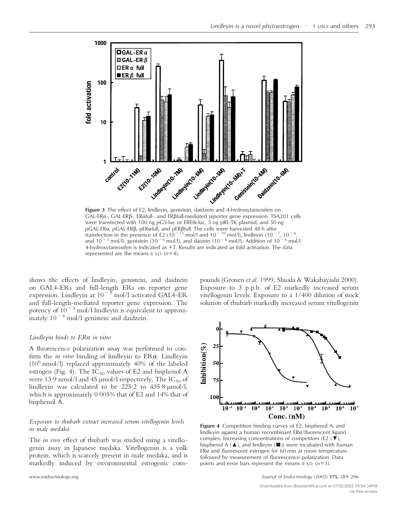

 $GAL-ER\alpha$ -,  $GAL-ER\beta$ -,  $ERafull$ -, and  $ER\beta full$ -mediated reporter gene expression. TSA201 cells were transfected with 100 ng pG5-luc or EREtk-luc, 5 ng pRL-TK plasmid, and 50 ng pGAL-ERα, pGAL-ERβ, pERαfull, and pERβfull. The cells were harvested 48 h after transfection in the presence of E2 (10<sup>-11</sup> mol/l and 10<sup>-10</sup> mol/l), lindleyin (10<sup>-7</sup>, 10<sup>-6</sup>, and 10<sup>-5</sup> mol/l), genistein (10<sup>-6</sup> mol/l), and daizein (10<sup>-6</sup> mol/l). Addition of 10<sup>-6</sup> mol/l 4-hydroxytamoxifen is indicated as +T. Results are indicated as fold activation. The data represented are the means  $\pm$  s.D. ( $n=4$ ).

shows the effects of lindleyin, genistein, and daidzein on GAL4-ERs and full-length ERs on reporter gene expression. Lindleyin at 10<sup>-5</sup> mol/l activated GAL4-ER and full-length-mediated reporter gene expression. The potency of  $10^{-5}$  mol/l lindleyin is equivalent to approximately  $10^{-6}$  mol/l genistein and daidzein.

#### *Lindleyin binds to ER in vitro*

A fluorescence polarization assay was performed to confirm the *in vitro* binding of lindleyin to ER $\alpha$ . Lindleyin (106 nmol/l) replaced approximately 40% of the labeled estrogen (Fig. 4). The  $IC_{50}$  values of E2 and bisphenol A were 13.9 nmol/l and 45  $\mu$ mol/l respectively. The IC<sub>50</sub> of lindleyin was calculated to be  $225.2$  to  $435.8 \text{ \mu mol/l}$ , which is approximately 0·005% that of E2 and 14% that of bisphenol A.

## *Exposure to rhubarb extract increased serum vitellogenin levels in male medaka*

The *in vivo* effect of rhubarb was studied using a vitellogenin assay in Japanese medaka. Vitellogenin is a yolk protein, which is scarcely present in male medaka, and is markedly induced by environmental estrogenic compounds (Gronen *et al.* 1999, Shioda & Wakabayashi 2000). Exposure to 3 p.p.b. of E2 markedly increased serum vitellogenin levels. Exposure to a 1/400 dilution of stock solution of rhubarb markedly increased serum vitellogenin



**Figure 4** Competition binding curves of E2, bisphenol A, and lindleyin against a human recombinant  $ER\alpha/fluorescent$  ligand complex. Increasing concentrations of competitors (E2  $(\blacktriangledown)$ , bisphenol A ( $\blacktriangle$ ), and lindleyin ( $\blacksquare$ )) were incubated with human  $ER\alpha$  and fluorescent estrogen for 60 min at room temperature followed by measurement of fluorescence polarization. Data points and error bars represent the means  $\pm$  s.p. (*n*=3).

www.endocrinology.org *Journal of Endocrinology* (2002) **175,** 289–296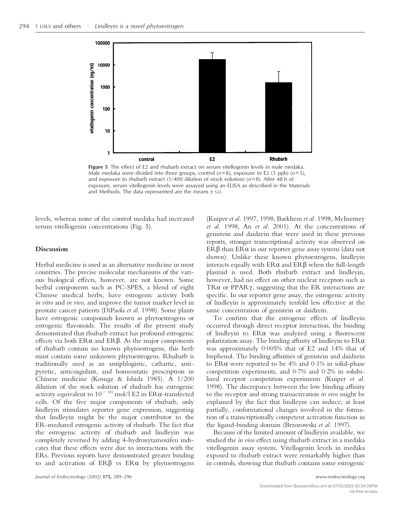

**Figure 5** The effect of E2 and rhubarb extract on serum vitellogenin levels in male medaka. Male medaka were divided into three groups, control  $(n=8)$ , exposure to E2 (3 ppb)  $(n=5)$ , and exposure to rhubarb extract (1/400 dilution of stock solution) (*n*=8). After 48 h of exposure, serum vitellogenin levels were assayed using an ELISA as described in the Materials and Methods. The data represented are the means  $\pm$  s.D.

levels, whereas none of the control medaka had increased serum vitellogenin concentrations (Fig. 5).

## **Discussion**

Herbal medicine is used as an alternative medicine in most countries. The precise molecular mechanisms of the various biological effects, however, are not known. Some herbal components such as PC-SPES, a blend of eight Chinese medical herbs, have estrogenic activity both *in vitro* and *in vivo*, and improve the tumor marker level in prostate cancer patients (DiPaola *et al.* 1998). Some plants have estrogenic compounds known as phytoestrogens or estrogenic flavonoids. The results of the present study demonstrated that rhubarb extract has profound estrogenic effects via both  $ER\alpha$  and  $ER\beta$ . As the major components of rhubarb contain no known phytoestrogens, this herb must contain some unknown phytoestrogens. Rhubarb is traditionally used as an antiphlogistic, cathartic, antipyretic, anticoagulant, and homeostatic prescription in Chinese medicine (Kosuge & Ishida 1985). A 1/200 dilution of the stock solution of rhubarb has estrogenic activity equivalent to  $10^{-10}$  mol/l E2 in ER $\alpha$ -transfected cells. Of the five major components of rhubarb, only lindleyin stimulates reporter gene expression, suggesting that lindleyin might be the major contributor to the ER-mediated estrogenic activity of rhubarb. The fact that the estrogenic activity of rhubarb and lindleyin was completely reversed by adding 4-hydroxytamoxifen indicates that these effects were due to interactions with the ERs. Previous reports have demonstrated greater binding to and activation of  $ER\beta$  vs  $ER\alpha$  by phytoestrogens

(Kuiper *et al.* 1997, 1998, Barkhem *et al.* 1998, McInerney *et al.* 1998, An *et al.* 2001). At the concentrations of genistein and daidzein that were used in these previous reports, stronger transcriptional activity was observed on  $\mathrm{ER}\beta$  than  $\mathrm{ER}\alpha$  in our reporter gene assay system (data not shown). Unlike these known phytoestrogens, lindleyin interacts equally with  $ER\alpha$  and  $ER\beta$  when the full-length plasmid is used. Both rhubarb extract and lindleyin, however, had no effect on other nuclear receptors such as TR $\alpha$  or PPAR $\gamma$ , suggesting that the ER interactions are specific. In our reporter gene assay, the estrogenic activity of lindleyin is approximately tenfold less effective at the same concentration of genistein or daidzein.

To confirm that the estrogenic effects of lindleyin occurred through direct receptor interaction, the binding of lindleyin to  $ER\alpha$  was analyzed using a fluorescent polarization assay. The binding affinity of lindleyin to  $ER\alpha$ was approximately 0·005% that of E2 and 14% that of bisphenol. The binding affinities of genistein and daidzein to ER $\alpha$  were reported to be 4% and 0.1% in solid-phase competition experiments, and 0·7% and 0·2% in solubilized receptor competition experiments (Kuiper *et al.* 1998). The discrepancy between the low binding affinity to the receptor and strong transactivation *in vivo* might be explained by the fact that lindleyin can induce, at least partially, conformational changes involved in the formation of a transcriptionally competent activation function in the ligand-binding domain (Brzozowski *et al.* 1997).

Because of the limited amount of lindleyin available, we studied the *in vivo* effect using rhubarb extract in a medaka vitellogenin assay system. Vitellogenin levels in medaka exposed to rhubarb extract were remarkably higher than in controls, showing that rhubarb contains some estrogenic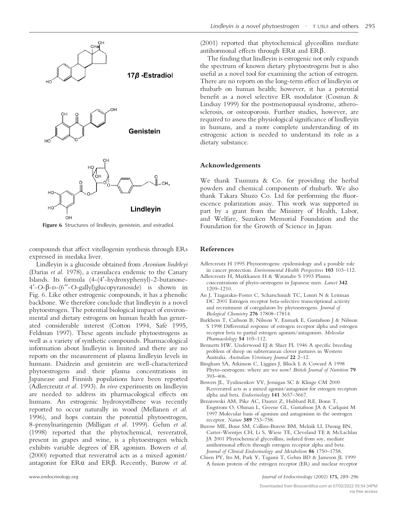

**Figure 6** Structures of lindleyin, genistein, and estradiol.

compounds that affect vitellogenin synthesis through ERs expressed in medaka liver.

Lindleyin is a glucoside obtained from *Aeonium lindrleyi* (Darias *et al.* 1978), a crassulacea endemic to the Canary Islands. Its formula (4-(4 -hydroxyphenyl)-2-butanone-4'-O-β-D-(6''-O-gallyl)glucopyranoside) is shown in Fig. 6. Like other estrogenic compounds, it has a phenolic backbone. We therefore conclude that lindleyin is a novel phytoestrogen. The potential biological impact of environmental and dietary estrogens on human health has generated considerable interest (Cotton 1994, Safe 1995, Feldman 1997). These agents include phytoestrogens as well as a variety of synthetic compounds. Pharmacological information about lindleyin is limited and there are no reports on the measurement of plasma lindleyin levels in humans. Daidzein and genistein are well-characterized phytoestrogens and their plasma concentrations in Japanease and Finnish populations have been reported (Adlercreutz *et al.* 1993). *In vivo* experiments on lindleyin are needed to address its pharmacological effects on humans. An estrogenic hydroxystilbene was recently reported to occur naturally in wood (Mellanen *et al.* 1996), and hops contain the potential phytoestrogen, 8-prenylnaringenin (Milligan *et al.* 1999). Gehm *et al.* (1998) reported that the phytochemical, resveratrol, present in grapes and wine, is a phytoestrogen which exhibits variable degrees of ER agonism. Bowers *et al.* (2000) reported that resveratrol acts as a mixed agonist/ antagonist for ERa and ERß. Recently, Burow et al.

(2001) reported that phytochemical glyceollins mediate antihormonal effects through  $ER\alpha$  and  $ER\beta$ .

The finding that lindleyin is estrogenic not only expands the spectrum of known dietary phytoestrogens but is also useful as a novel tool for examining the action of estrogen. There are no reports on the long-term effect of lindleyin or rhubarb on human health; however, it has a potential benefit as a novel selective ER modulator (Cosman & Lindsay 1999) for the postmenopausal syndrome, atherosclerosis, or osteoporosis. Further studies, however, are required to assess the physiological significance of lindleyin in humans, and a more complete understanding of its estrogenic action is needed to understand its role as a dietary substance.

#### **Acknowledgements**

We thank Tsumura & Co. for providing the herbal powders and chemical components of rhubarb. We also thank Takara Shuzo Co. Ltd for performing the fluorescence polarization assay. This work was supported in part by a grant from the Ministry of Health, Labor, and Welfare, Suzuken Memorial Foundation and the Foundation for the Growth of Science in Japan.

#### **References**

- Adlercreutz H 1995 Phytoestrogens: epidemiology and a possible role in cancer protection. *Environmental Health Perspectives* **103** 103–112.
- Adlercreutz H, Markkanen H & Watanabe S 1993 Plasma concentrations of phyto-oestrogens in Japanese men. *Lancet* **342** 1209–1210.
- An J, Tzagarakis-Foster C, Scharschmidt TC, Lomri N & Leitman DC 2001 Estrogen receptor beta-selective transcriptional activity and recruitment of coregulators by phytoestrogens. *Journal of Biological Chemistry* **276** 17808–17814.
- Barkhem T, Carlsson B, Nilsson Y, Enmark E, Gustafsson J & Nilsson S 1998 Differential response of estrogen receptor alpha and estrogen receptor beta to partial estrogen agonists/antagonists. *Molecular Pharmacolology* **54** 105–112.
- Bennetts HW, Underwood EJ & Shier FL 1946 A specific breeding problem of sheep on subterranean clover pastures in Western Australia. *Australian Veterinary Journal* **22** 2–12.
- Bingham SA, Atkinson C, Liggins J, Bluck L & Coward A 1998 Phyto-oestrogens: where are we now? *British Journal of Nutrition* **79** 393–406.
- Bowers JL, Tyulmenkov VV, Jernigan SC & Klinge CM 2000 Resveratrol acts as a mixed agonist/antagonist for estrogen receptors alpha and beta. *Endocrinology* **141** 3657–3667.
- Brzozowski AM, Pike AC, Dauter Z, Hubbard RE, Bonn T, Engstrom O, Ohman L, Greene GL, Gustafsson JA & Carlquist M 1997 Molecular basis of agonism and antagonism in the oestrogen receptor. *Nature* **389** 753–758.
- Burow ME, Boue SM, Collins-Burow BM, Melnik LI, Duong BN, Carter-Wientjes CH, Li S, Wiese TE, Cleveland TE & McLachlan JA 2001 Phytochemical glyceollins, isolated from soy, mediate antihormonal effects through estrogen receptor alpha and beta. *Journal of Clinical Endocrinology and Metabolism* **86** 1750–1758.
- Chien PY, Ito M, Park Y, Tagami T, Gehm BD & Jameson JL 1999 A fusion protein of the estrogen receptor (ER) and nuclear receptor

www.endocrinology.org *Journal of Endocrinology* (2002) **175,** 289–296